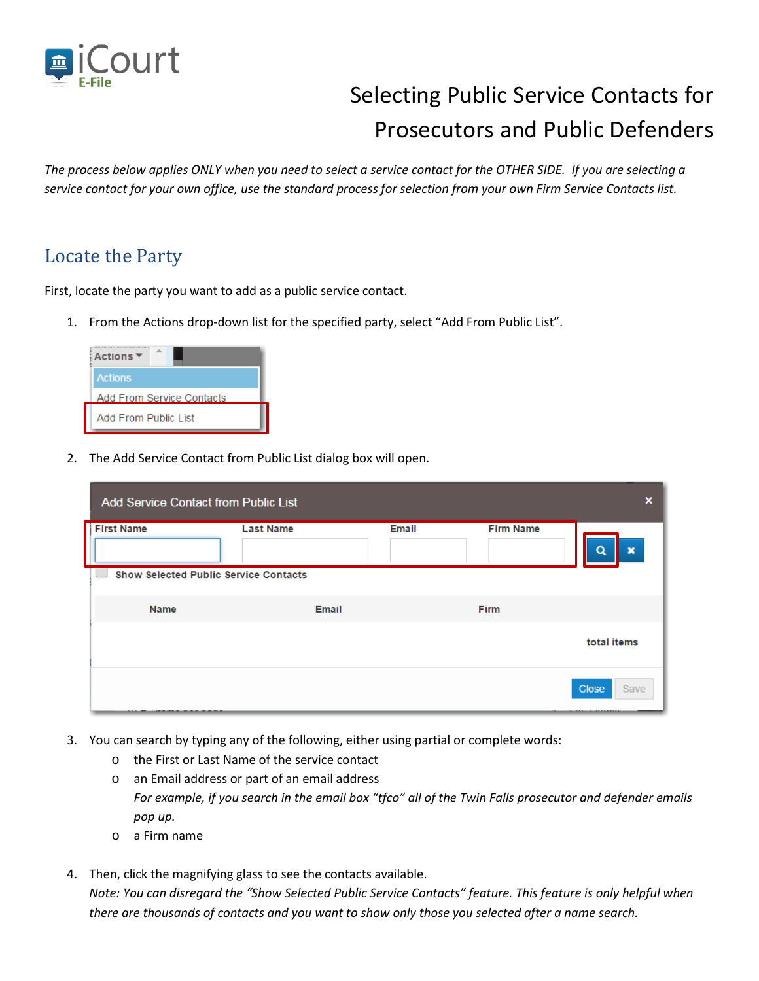

## Selecting Public Service Contacts for Prosecutors and Public Defenders

*The process below applies ONLY when you need to select a service contact for the OTHER SIDE. If you are selecting a service contact for your own office, use the standard process for selection from your own Firm Service Contacts list.*

## Locate the Party

First, locate the party you want to add as a public service contact.

1. From the Actions drop-down list for the specified party, select "Add From Public List".

| Actions ▼                 |  |  |  |  |
|---------------------------|--|--|--|--|
| <b>Actions</b>            |  |  |  |  |
| Add From Service Contacts |  |  |  |  |
| Add From Public List      |  |  |  |  |

2. The Add Service Contact from Public List dialog box will open.

| <b>Add Service Contact from Public List</b>  | $\boldsymbol{\mathsf{x}}$ |       |                  |                                |
|----------------------------------------------|---------------------------|-------|------------------|--------------------------------|
| <b>First Name</b>                            | <b>Last Name</b>          | Email | <b>Firm Name</b> | $\boldsymbol{\mathsf{x}}$<br>a |
| <b>Show Selected Public Service Contacts</b> |                           |       |                  |                                |
| <b>Name</b>                                  | <b>Email</b>              |       | <b>Firm</b>      |                                |
|                                              |                           |       |                  | total items                    |
|                                              |                           |       |                  | Close<br>Save                  |

- 3. You can search by typing any of the following, either using partial or complete words:
	- o the First or Last Name of the service contact
	- o an Email address or part of an email address *For example, if you search in the email box "tfco" all of the Twin Falls prosecutor and defender emails pop up.*
	- o a Firm name
- 4. Then, click the magnifying glass to see the contacts available. *Note: You can disregard the "Show Selected Public Service Contacts" feature. This feature is only helpful when there are thousands of contacts and you want to show only those you selected after a name search.*